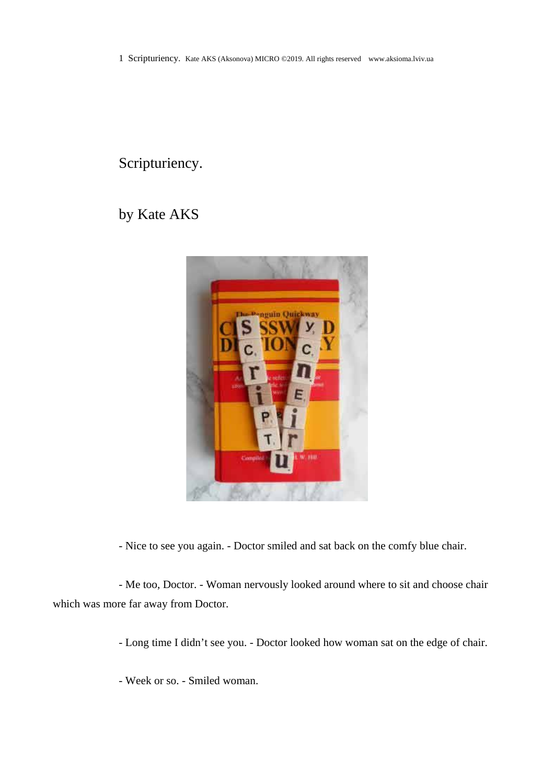1 Scripturiency. Kate AKS (Aksonova) MICRO ©2019. All rights reserved www.aksioma.lviv.ua

## Scripturiency.

## by Kate AKS



- Nice to see you again. - Doctor smiled and sat back on the comfy blue chair.

- Me too, Doctor. - Woman nervously looked around where to sit and choose chair which was more far away from Doctor.

- Long time I didn't see you. - Doctor looked how woman sat on the edge of chair.

- Week or so. - Smiled woman.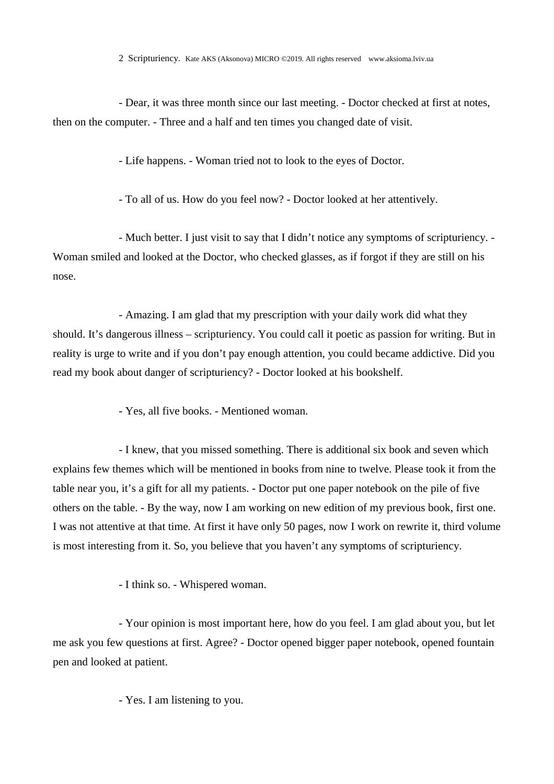- Dear, it was three month since our last meeting. - Doctor checked at first at notes, then on the computer. - Three and a half and ten times you changed date of visit.

- Life happens. - Woman tried not to look to the eyes of Doctor.

- To all of us. How do you feel now? - Doctor looked at her attentively.

- Much better. I just visit to say that I didn't notice any symptoms of scripturiency. - Woman smiled and looked at the Doctor, who checked glasses, as if forgot if they are still on his nose.

- Amazing. I am glad that my prescription with your daily work did what they should. It's dangerous illness – scripturiency. You could call it poetic as passion for writing. But in reality is urge to write and if you don't pay enough attention, you could became addictive. Did you read my book about danger of scripturiency? - Doctor looked at his bookshelf.

- Yes, all five books. - Mentioned woman.

- I knew, that you missed something. There is additional six book and seven which explains few themes which will be mentioned in books from nine to twelve. Please took it from the table near you, it's a gift for all my patients. - Doctor put one paper notebook on the pile of five others on the table. - By the way, now I am working on new edition of my previous book, first one. I was not attentive at that time. At first it have only 50 pages, now I work on rewrite it, third volume is most interesting from it. So, you believe that you haven't any symptoms of scripturiency.

- I think so. - Whispered woman.

- Your opinion is most important here, how do you feel. I am glad about you, but let me ask you few questions at first. Agree? - Doctor opened bigger paper notebook, opened fountain pen and looked at patient.

- Yes. I am listening to you.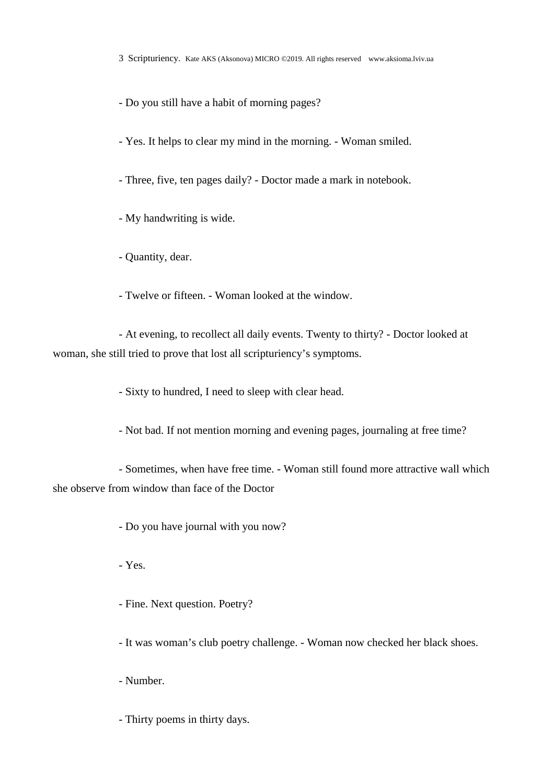3 Scripturiency. Kate AKS (Aksonova) MICRO ©2019. All rights reserved www.aksioma.lviv.ua

- Do you still have a habit of morning pages?

- Yes. It helps to clear my mind in the morning. - Woman smiled.

- Three, five, ten pages daily? - Doctor made a mark in notebook.

- My handwriting is wide.

- Quantity, dear.

- Twelve or fifteen. - Woman looked at the window.

- At evening, to recollect all daily events. Twenty to thirty? - Doctor looked at woman, she still tried to prove that lost all scripturiency's symptoms.

- Sixty to hundred, I need to sleep with clear head.

- Not bad. If not mention morning and evening pages, journaling at free time?

- Sometimes, when have free time. - Woman still found more attractive wall which she observe from window than face of the Doctor

- Do you have journal with you now?

- Yes.

- Fine. Next question. Poetry?

- It was woman's club poetry challenge. - Woman now checked her black shoes.

- Number.

- Thirty poems in thirty days.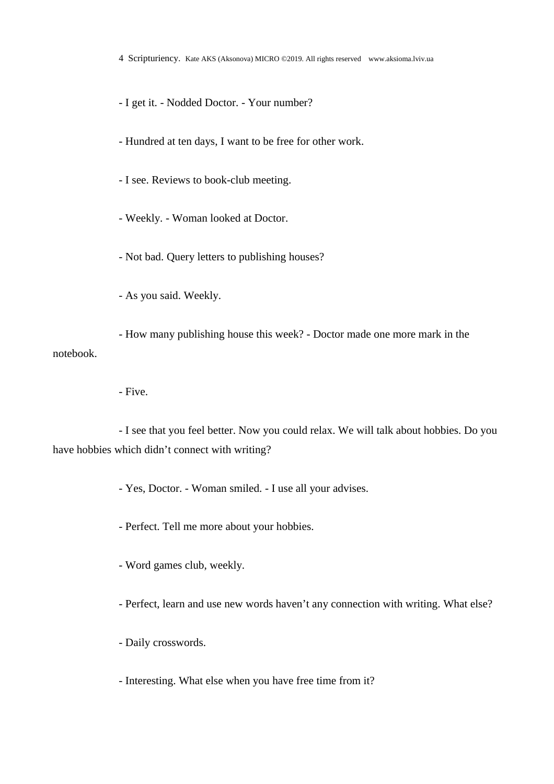4 Scripturiency. Kate AKS (Aksonova) MICRO ©2019. All rights reserved www.aksioma.lviv.ua

- I get it. - Nodded Doctor. - Your number?

- Hundred at ten days, I want to be free for other work.

- I see. Reviews to book-club meeting.

- Weekly. - Woman looked at Doctor.

- Not bad. Query letters to publishing houses?

- As you said. Weekly.

- How many publishing house this week? - Doctor made one more mark in the notebook.

- Five.

- I see that you feel better. Now you could relax. We will talk about hobbies. Do you have hobbies which didn't connect with writing?

- Yes, Doctor. - Woman smiled. - I use all your advises.

- Perfect. Tell me more about your hobbies.

- Word games club, weekly.

- Perfect, learn and use new words haven't any connection with writing. What else?

- Daily crosswords.

- Interesting. What else when you have free time from it?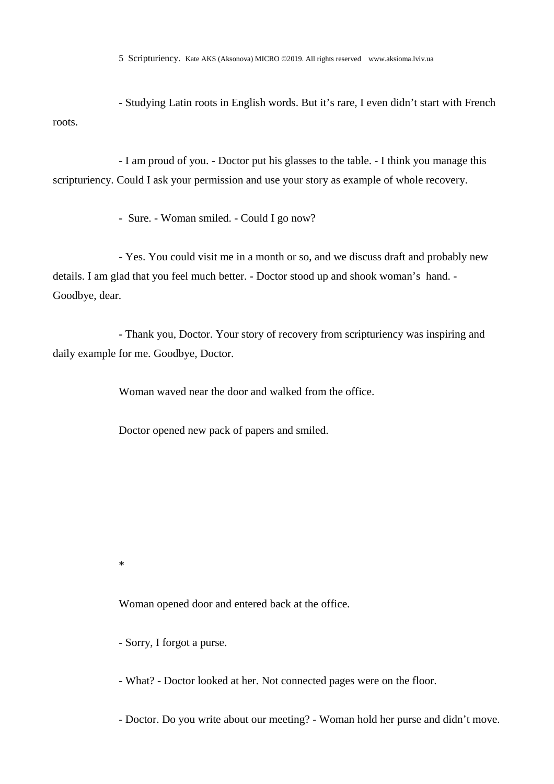- Studying Latin roots in English words. But it's rare, I even didn't start with French roots.

- I am proud of you. - Doctor put his glasses to the table. - I think you manage this scripturiency. Could I ask your permission and use your story as example of whole recovery.

- Sure. - Woman smiled. - Could I go now?

- Yes. You could visit me in a month or so, and we discuss draft and probably new details. I am glad that you feel much better. - Doctor stood up and shook woman's hand. - Goodbye, dear.

- Thank you, Doctor. Your story of recovery from scripturiency was inspiring and daily example for me. Goodbye, Doctor.

Woman waved near the door and walked from the office.

Doctor opened new pack of papers and smiled.

\*

Woman opened door and entered back at the office.

- Sorry, I forgot a purse.

- What? - Doctor looked at her. Not connected pages were on the floor.

- Doctor. Do you write about our meeting? - Woman hold her purse and didn't move.